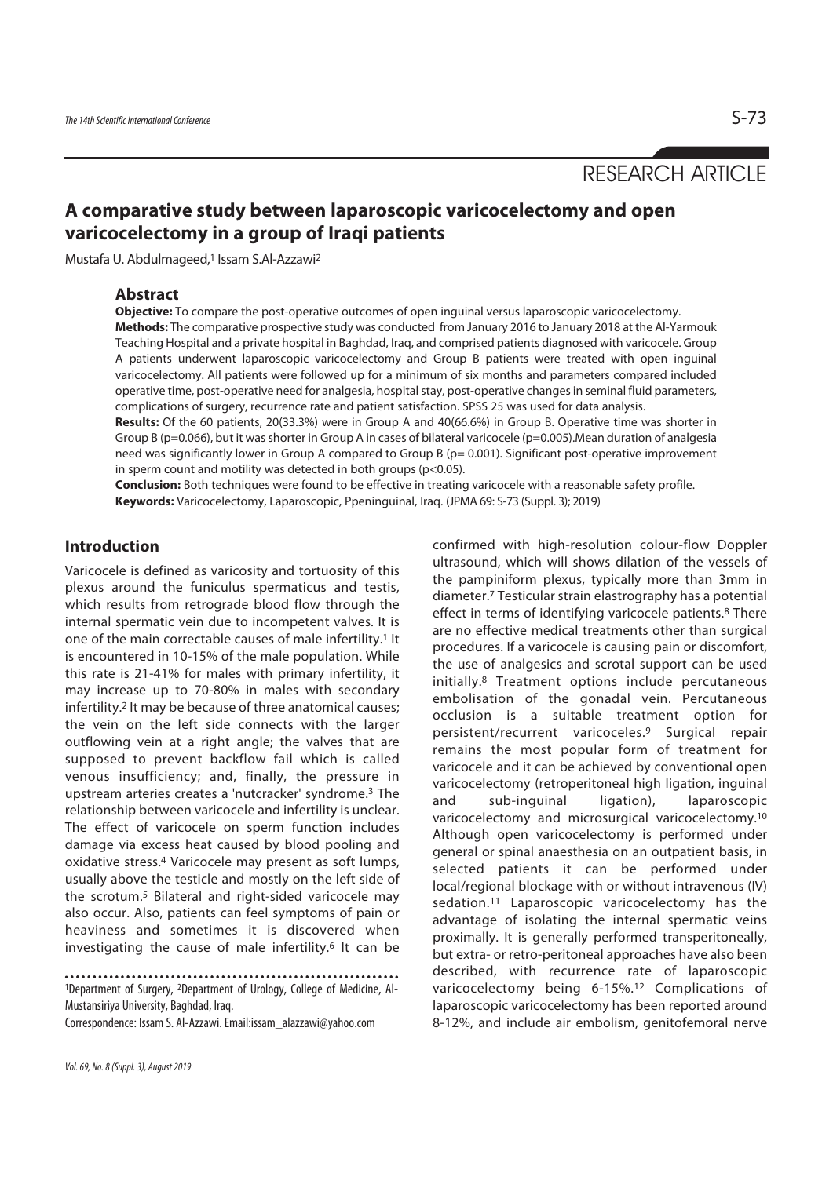RESEARCH ARTICLE

# **A comparative study between laparoscopic varicocelectomy and open varicocelectomy in a group of Iraqi patients**

Mustafa U. Abdulmageed,1 Issam S.Al-Azzawi2

## **Abstract**

**Objective:** To compare the post-operative outcomes of open inguinal versus laparoscopic varicocelectomy. **Methods:** The comparative prospective study was conducted from January 2016 to January 2018 at the Al-Yarmouk Teaching Hospital and a private hospital in Baghdad, Iraq, and comprised patients diagnosed with varicocele. Group A patients underwent laparoscopic varicocelectomy and Group B patients were treated with open inguinal

varicocelectomy. All patients were followed up for a minimum of six months and parameters compared included operative time, post-operative need for analgesia, hospital stay, post-operative changes in seminal fluid parameters, complications of surgery, recurrence rate and patient satisfaction. SPSS 25 was used for data analysis.

**Results:** Of the 60 patients, 20(33.3%) were in Group A and 40(66.6%) in Group B. Operative time was shorter in Group B (p=0.066), but it was shorter in Group A in cases of bilateral varicocele (p=0.005).Mean duration of analgesia need was significantly lower in Group A compared to Group B (p= 0.001). Significant post-operative improvement in sperm count and motility was detected in both groups (p<0.05).

**Conclusion:** Both techniques were found to be effective in treating varicocele with a reasonable safety profile. **Keywords:** Varicocelectomy, Laparoscopic, Ppeninguinal, Iraq. (JPMA 69: S-73 (Suppl. 3); 2019)

## **Introduction**

Varicocele is defined as varicosity and tortuosity of this plexus around the funiculus spermaticus and testis, which results from retrograde blood flow through the internal spermatic vein due to incompetent valves. It is one of the main correctable causes of male infertility.1 It is encountered in 10-15% of the male population. While this rate is 21-41% for males with primary infertility, it may increase up to 70-80% in males with secondary infertility.2 It may be because of three anatomical causes; the vein on the left side connects with the larger outflowing vein at a right angle; the valves that are supposed to prevent backflow fail which is called venous insufficiency; and, finally, the pressure in upstream arteries creates a 'nutcracker' syndrome.3 The relationship between varicocele and infertility is unclear. The effect of varicocele on sperm function includes damage via excess heat caused by blood pooling and oxidative stress.4 Varicocele may present as soft lumps, usually above the testicle and mostly on the left side of the scrotum.5 Bilateral and right-sided varicocele may also occur. Also, patients can feel symptoms of pain or heaviness and sometimes it is discovered when investigating the cause of male infertility.6 It can be

1Department of Surgery, 2Department of Urology, College of Medicine, Al-Mustansiriya University, Baghdad, Iraq.

Correspondence: Issam S. Al-Azzawi. Email:issam\_alazzawi@yahoo.com

confirmed with high-resolution colour-flow Doppler ultrasound, which will shows dilation of the vessels of the pampiniform plexus, typically more than 3mm in diameter.7 Testicular strain elastrography has a potential effect in terms of identifying varicocele patients.<sup>8</sup> There are no effective medical treatments other than surgical procedures. If a varicocele is causing pain or discomfort, the use of analgesics and scrotal support can be used initially.8 Treatment options include percutaneous embolisation of the gonadal vein. Percutaneous occlusion is a suitable treatment option for persistent/recurrent varicoceles.9 Surgical repair remains the most popular form of treatment for varicocele and it can be achieved by conventional open varicocelectomy (retroperitoneal high ligation, inguinal and sub-inguinal ligation), laparoscopic varicocelectomy and microsurgical varicocelectomy.10 Although open varicocelectomy is performed under general or spinal anaesthesia on an outpatient basis, in selected patients it can be performed under local/regional blockage with or without intravenous (IV) sedation.<sup>11</sup> Laparoscopic varicocelectomy has the advantage of isolating the internal spermatic veins proximally. It is generally performed transperitoneally, but extra- or retro-peritoneal approaches have also been described, with recurrence rate of laparoscopic varicocelectomy being 6-15%.12 Complications of laparoscopic varicocelectomy has been reported around 8-12%, and include air embolism, genitofemoral nerve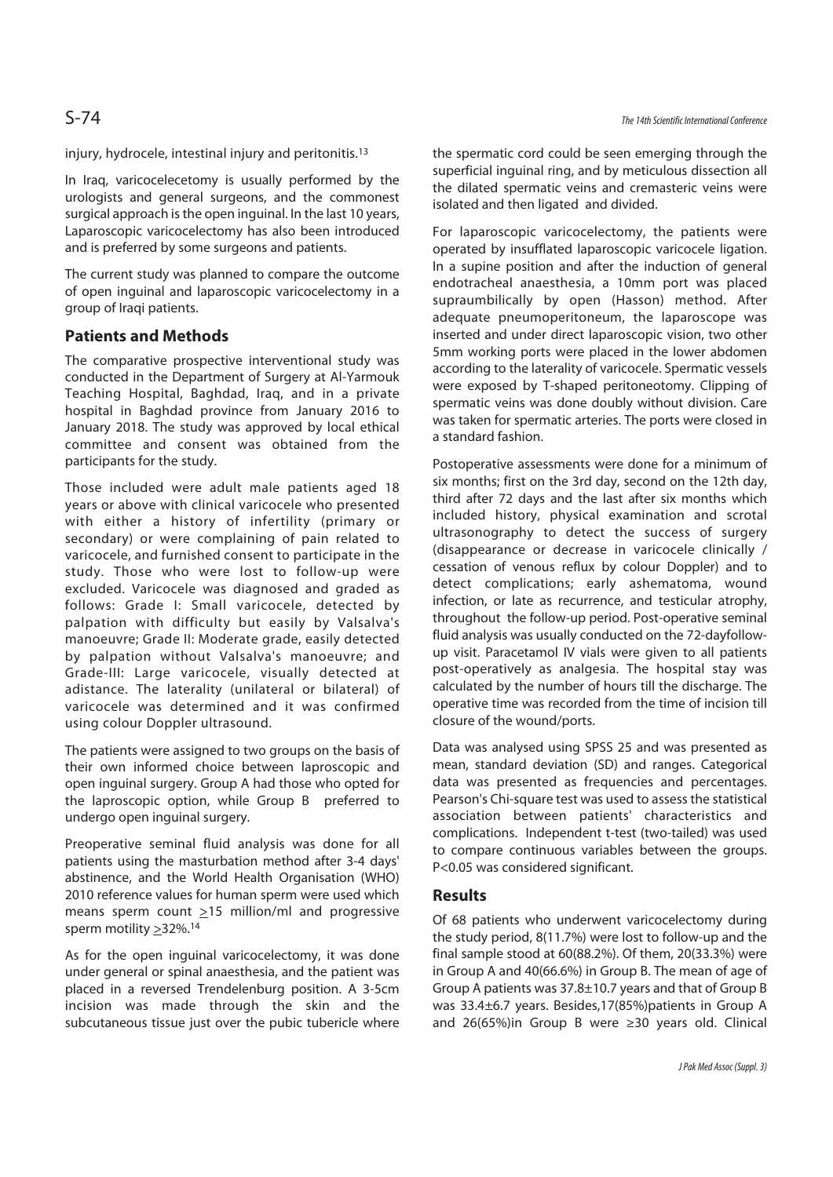injury, hydrocele, intestinal injury and peritonitis.13

In Iraq, varicocelecetomy is usually performed by the urologists and general surgeons, and the commonest surgical approach is the open inguinal. In the last 10 years, Laparoscopic varicocelectomy has also been introduced and is preferred by some surgeons and patients.

The current study was planned to compare the outcome of open inguinal and laparoscopic varicocelectomy in a group of Iraqi patients.

### **Patients and Methods**

The comparative prospective interventional study was conducted in the Department of Surgery at Al-Yarmouk Teaching Hospital, Baghdad, Iraq, and in a private hospital in Baghdad province from January 2016 to January 2018. The study was approved by local ethical committee and consent was obtained from the participants for the study.

Those included were adult male patients aged 18 years or above with clinical varicocele who presented with either a history of infertility (primary or secondary) or were complaining of pain related to varicocele, and furnished consent to participate in the study. Those who were lost to follow-up were excluded. Varicocele was diagnosed and graded as follows: Grade I: Small varicocele, detected by palpation with difficulty but easily by Valsalva's manoeuvre; Grade II: Moderate grade, easily detected by palpation without Valsalva's manoeuvre; and Grade-III: Large varicocele, visually detected at adistance. The laterality (unilateral or bilateral) of varicocele was determined and it was confirmed using colour Doppler ultrasound.

The patients were assigned to two groups on the basis of their own informed choice between laproscopic and open inguinal surgery. Group A had those who opted for the laproscopic option, while Group B preferred to undergo open inguinal surgery.

Preoperative seminal fluid analysis was done for all patients using the masturbation method after 3-4 days' abstinence, and the World Health Organisation (WHO) 2010 reference values for human sperm were used which means sperm count >15 million/ml and progressive sperm motility >32%.14

As for the open inguinal varicocelectomy, it was done under general or spinal anaesthesia, and the patient was placed in a reversed Trendelenburg position. A 3-5cm incision was made through the skin and the subcutaneous tissue just over the pubic tubericle where the spermatic cord could be seen emerging through the superficial inguinal ring, and by meticulous dissection all the dilated spermatic veins and cremasteric veins were isolated and then ligated and divided.

For laparoscopic varicocelectomy, the patients were operated by insufflated laparoscopic varicocele ligation. In a supine position and after the induction of general endotracheal anaesthesia, a 10mm port was placed supraumbilically by open (Hasson) method. After adequate pneumoperitoneum, the laparoscope was inserted and under direct laparoscopic vision, two other 5mm working ports were placed in the lower abdomen according to the laterality of varicocele. Spermatic vessels were exposed by T-shaped peritoneotomy. Clipping of spermatic veins was done doubly without division. Care was taken for spermatic arteries. The ports were closed in a standard fashion.

Postoperative assessments were done for a minimum of six months; first on the 3rd day, second on the 12th day, third after 72 days and the last after six months which included history, physical examination and scrotal ultrasonography to detect the success of surgery (disappearance or decrease in varicocele clinically / cessation of venous reflux by colour Doppler) and to detect complications; early ashematoma, wound infection, or late as recurrence, and testicular atrophy, throughout the follow-up period. Post-operative seminal fluid analysis was usually conducted on the 72-dayfollowup visit. Paracetamol IV vials were given to all patients post-operatively as analgesia. The hospital stay was calculated by the number of hours till the discharge. The operative time was recorded from the time of incision till closure of the wound/ports.

Data was analysed using SPSS 25 and was presented as mean, standard deviation (SD) and ranges. Categorical data was presented as frequencies and percentages. Pearson's Chi-square test was used to assess the statistical association between patients' characteristics and complications. Independent t-test (two-tailed) was used to compare continuous variables between the groups. P<0.05 was considered significant.

## **Results**

Of 68 patients who underwent varicocelectomy during the study period, 8(11.7%) were lost to follow-up and the final sample stood at 60(88.2%). Of them, 20(33.3%) were in Group A and 40(66.6%) in Group B. The mean of age of Group A patients was 37.8±10.7 years and that of Group B was 33.4±6.7 years. Besides,17(85%)patients in Group A and 26(65%)in Group B were ≥30 years old. Clinical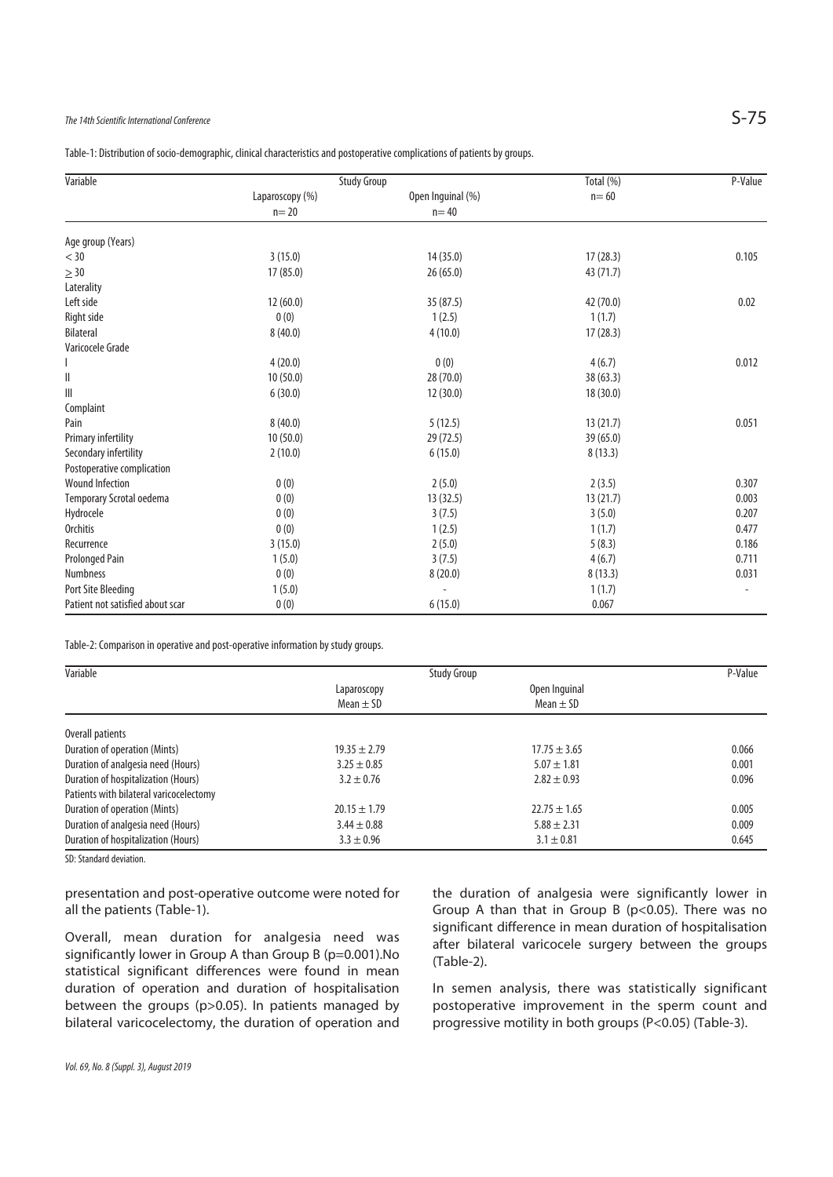## The 14th Scientific International Conference  $S$ -75

Table-1: Distribution of socio-demographic, clinical characteristics and postoperative complications of patients by groups.

| Variable                         | <b>Study Group</b> |                   | Total (%) | P-Value |
|----------------------------------|--------------------|-------------------|-----------|---------|
|                                  | Laparoscopy (%)    | Open Inguinal (%) | $n = 60$  |         |
|                                  | $n=20$             | $n = 40$          |           |         |
| Age group (Years)                |                    |                   |           |         |
| $<$ 30                           | 3(15.0)            | 14 (35.0)         | 17(28.3)  | 0.105   |
| $\geq 30$                        | 17(85.0)           | 26 (65.0)         | 43 (71.7) |         |
| Laterality                       |                    |                   |           |         |
| Left side                        | 12(60.0)           | 35 (87.5)         | 42 (70.0) | 0.02    |
| Right side                       | 0(0)               | 1(2.5)            | 1(1.7)    |         |
| <b>Bilateral</b>                 | 8(40.0)            | 4(10.0)           | 17(28.3)  |         |
| Varicocele Grade                 |                    |                   |           |         |
|                                  | 4(20.0)            | 0(0)              | 4(6.7)    | 0.012   |
| Ш                                | 10(50.0)           | 28 (70.0)         | 38 (63.3) |         |
| Ш                                | 6(30.0)            | 12(30.0)          | 18(30.0)  |         |
| Complaint                        |                    |                   |           |         |
| Pain                             | 8(40.0)            | 5(12.5)           | 13(21.7)  | 0.051   |
| Primary infertility              | 10(50.0)           | 29 (72.5)         | 39 (65.0) |         |
| Secondary infertility            | 2(10.0)            | 6(15.0)           | 8(13.3)   |         |
| Postoperative complication       |                    |                   |           |         |
| <b>Wound Infection</b>           | 0(0)               | 2(5.0)            | 2(3.5)    | 0.307   |
| Temporary Scrotal oedema         | 0(0)               | 13 (32.5)         | 13 (21.7) | 0.003   |
| Hydrocele                        | 0(0)               | 3(7.5)            | 3(5.0)    | 0.207   |
| <b>Orchitis</b>                  | 0(0)               | 1(2.5)            | 1(1.7)    | 0.477   |
| Recurrence                       | 3(15.0)            | 2(5.0)            | 5(8.3)    | 0.186   |
| <b>Prolonged Pain</b>            | 1(5.0)             | 3(7.5)            | 4(6.7)    | 0.711   |
| <b>Numbness</b>                  | 0(0)               | 8(20.0)           | 8(13.3)   | 0.031   |
| Port Site Bleeding               | 1(5.0)             | L,                | 1(1.7)    |         |
| Patient not satisfied about scar | 0(0)               | 6(15.0)           | 0.067     |         |

Table-2: Comparison in operative and post-operative information by study groups.

| <b>Study Group</b> |                  | P-Value |
|--------------------|------------------|---------|
| Laparoscopy        | Open Inquinal    |         |
| Mean $\pm$ SD      | Mean $\pm$ SD    |         |
|                    |                  |         |
| $19.35 \pm 2.79$   | $17.75 \pm 3.65$ | 0.066   |
| $3.25 \pm 0.85$    | $5.07 \pm 1.81$  | 0.001   |
| $3.2 \pm 0.76$     | $2.82 \pm 0.93$  | 0.096   |
|                    |                  |         |
| $20.15 \pm 1.79$   | $22.75 \pm 1.65$ | 0.005   |
| $3.44 \pm 0.88$    | $5.88 \pm 2.31$  | 0.009   |
| $3.3 \pm 0.96$     | $3.1 \pm 0.81$   | 0.645   |
|                    |                  |         |

SD: Standard deviation.

presentation and post-operative outcome were noted for all the patients (Table-1).

Overall, mean duration for analgesia need was significantly lower in Group A than Group B (p=0.001).No statistical significant differences were found in mean duration of operation and duration of hospitalisation between the groups (p>0.05). In patients managed by bilateral varicocelectomy, the duration of operation and

the duration of analgesia were significantly lower in Group A than that in Group B (p<0.05). There was no significant difference in mean duration of hospitalisation after bilateral varicocele surgery between the groups (Table-2).

In semen analysis, there was statistically significant postoperative improvement in the sperm count and progressive motility in both groups (P<0.05) (Table-3).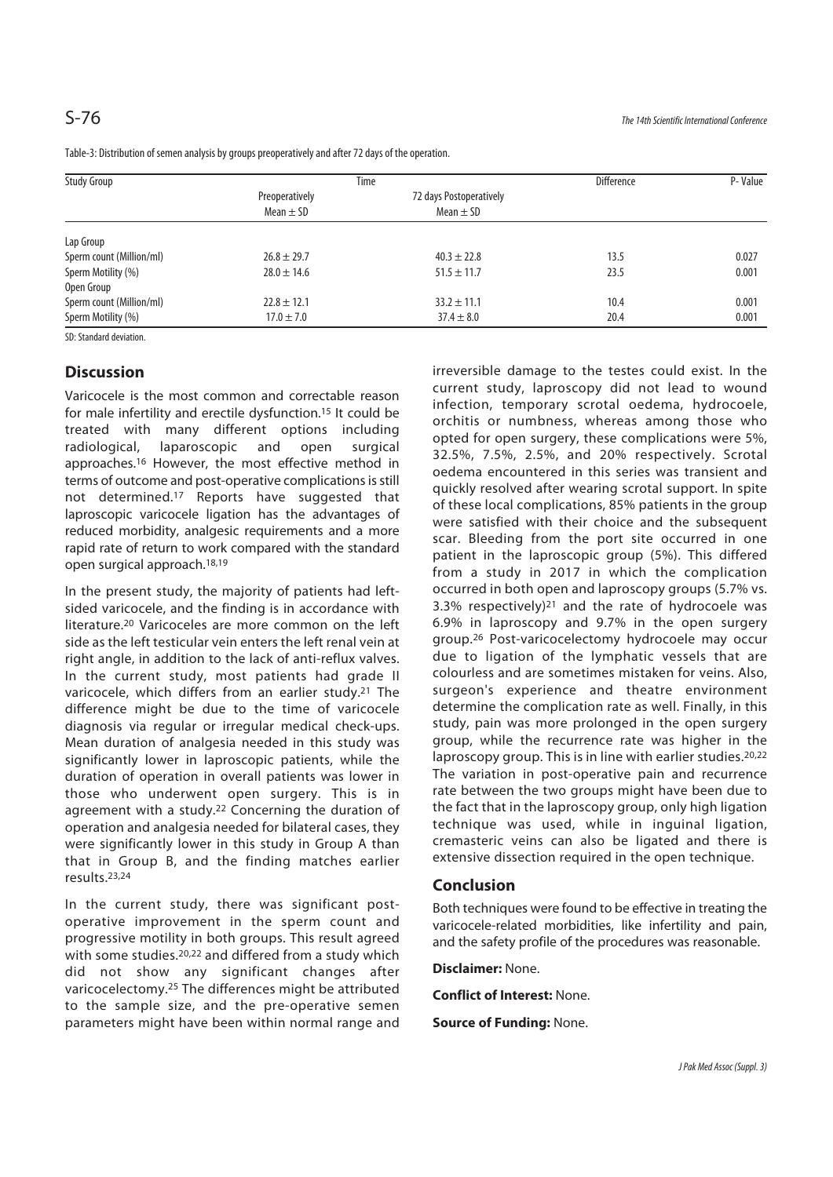| Study Group              | Time                            |                                          | <b>Difference</b> | P-Value |
|--------------------------|---------------------------------|------------------------------------------|-------------------|---------|
|                          | Preoperatively<br>Mean $\pm$ SD | 72 days Postoperatively<br>Mean $\pm$ SD |                   |         |
| Lap Group                |                                 |                                          |                   |         |
| Sperm count (Million/ml) | $26.8 \pm 29.7$                 | $40.3 \pm 22.8$                          | 13.5              | 0.027   |
| Sperm Motility (%)       | $28.0 \pm 14.6$                 | $51.5 \pm 11.7$                          | 23.5              | 0.001   |
| Open Group               |                                 |                                          |                   |         |
| Sperm count (Million/ml) | $22.8 \pm 12.1$                 | $33.2 \pm 11.1$                          | 10.4              | 0.001   |
| Sperm Motility (%)       | $17.0 \pm 7.0$                  | $37.4 \pm 8.0$                           | 20.4              | 0.001   |

Table-3: Distribution of semen analysis by groups preoperatively and after 72 days of the operation.

SD: Standard deviation.

## **Discussion**

Varicocele is the most common and correctable reason for male infertility and erectile dysfunction.15 It could be treated with many different options including radiological, laparoscopic and open surgical approaches.16 However, the most effective method in terms of outcome and post-operative complications is still not determined.17 Reports have suggested that laproscopic varicocele ligation has the advantages of reduced morbidity, analgesic requirements and a more rapid rate of return to work compared with the standard open surgical approach.18,19

In the present study, the majority of patients had leftsided varicocele, and the finding is in accordance with literature<sup>20</sup> Varicoceles are more common on the left side as the left testicular vein enters the left renal vein at right angle, in addition to the lack of anti-reflux valves. In the current study, most patients had grade II varicocele, which differs from an earlier study.21 The difference might be due to the time of varicocele diagnosis via regular or irregular medical check-ups. Mean duration of analgesia needed in this study was significantly lower in laproscopic patients, while the duration of operation in overall patients was lower in those who underwent open surgery. This is in agreement with a study.<sup>22</sup> Concerning the duration of operation and analgesia needed for bilateral cases, they were significantly lower in this study in Group A than that in Group B, and the finding matches earlier results.23,24

In the current study, there was significant postoperative improvement in the sperm count and progressive motility in both groups. This result agreed with some studies.<sup>20,22</sup> and differed from a study which did not show any significant changes after varicocelectomy.25 The differences might be attributed to the sample size, and the pre-operative semen parameters might have been within normal range and irreversible damage to the testes could exist. In the current study, laproscopy did not lead to wound infection, temporary scrotal oedema, hydrocoele, orchitis or numbness, whereas among those who opted for open surgery, these complications were 5%, 32.5%, 7.5%, 2.5%, and 20% respectively. Scrotal oedema encountered in this series was transient and quickly resolved after wearing scrotal support. In spite of these local complications, 85% patients in the group were satisfied with their choice and the subsequent scar. Bleeding from the port site occurred in one patient in the laproscopic group (5%). This differed from a study in 2017 in which the complication occurred in both open and laproscopy groups (5.7% vs. 3.3% respectively)21 and the rate of hydrocoele was 6.9% in laproscopy and 9.7% in the open surgery group.26 Post-varicocelectomy hydrocoele may occur due to ligation of the lymphatic vessels that are colourless and are sometimes mistaken for veins. Also, surgeon's experience and theatre environment determine the complication rate as well. Finally, in this study, pain was more prolonged in the open surgery group, while the recurrence rate was higher in the laproscopy group. This is in line with earlier studies.<sup>20,22</sup> The variation in post-operative pain and recurrence rate between the two groups might have been due to the fact that in the laproscopy group, only high ligation technique was used, while in inguinal ligation, cremasteric veins can also be ligated and there is extensive dissection required in the open technique.

## **Conclusion**

Both techniques were found to be effective in treating the varicocele-related morbidities, like infertility and pain, and the safety profile of the procedures was reasonable.

**Disclaimer:** None.

**Conflict of Interest:** None.

**Source of Funding:** None.